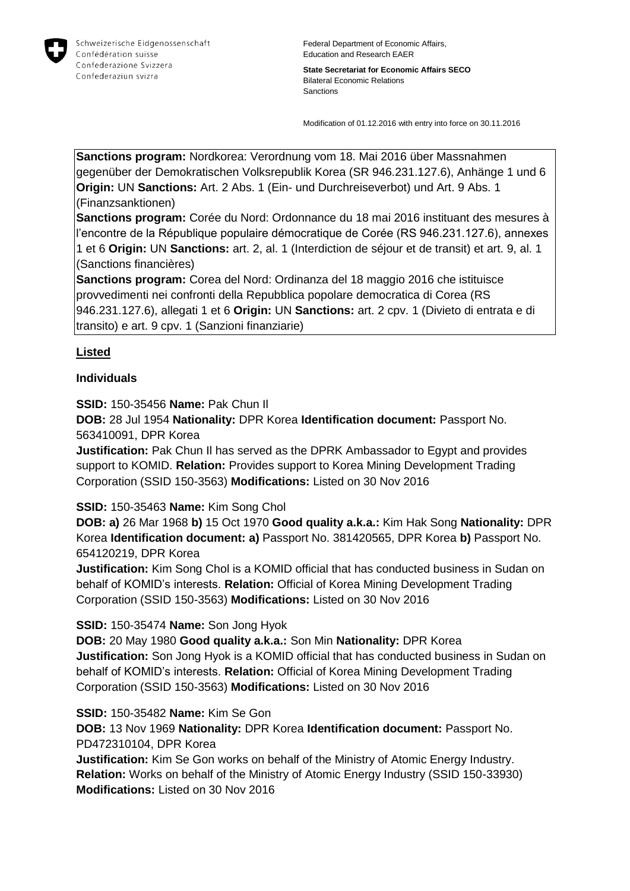

Federal Department of Economic Affairs, Education and Research EAER

**State Secretariat for Economic Affairs SECO** Bilateral Economic Relations Sanctions

Modification of 01.12.2016 with entry into force on 30.11.2016

**Sanctions program:** Nordkorea: Verordnung vom 18. Mai 2016 über Massnahmen gegenüber der Demokratischen Volksrepublik Korea (SR 946.231.127.6), Anhänge 1 und 6 **Origin:** UN **Sanctions:** Art. 2 Abs. 1 (Ein- und Durchreiseverbot) und Art. 9 Abs. 1 (Finanzsanktionen)

**Sanctions program:** Corée du Nord: Ordonnance du 18 mai 2016 instituant des mesures à l'encontre de la République populaire démocratique de Corée (RS 946.231.127.6), annexes 1 et 6 **Origin:** UN **Sanctions:** art. 2, al. 1 (Interdiction de séjour et de transit) et art. 9, al. 1 (Sanctions financières)

**Sanctions program:** Corea del Nord: Ordinanza del 18 maggio 2016 che istituisce provvedimenti nei confronti della Repubblica popolare democratica di Corea (RS 946.231.127.6), allegati 1 et 6 **Origin:** UN **Sanctions:** art. 2 cpv. 1 (Divieto di entrata e di transito) e art. 9 cpv. 1 (Sanzioni finanziarie)

# **Listed**

# **Individuals**

**SSID:** 150-35456 **Name:** Pak Chun Il

**DOB:** 28 Jul 1954 **Nationality:** DPR Korea **Identification document:** Passport No. 563410091, DPR Korea

**Justification:** Pak Chun Il has served as the DPRK Ambassador to Egypt and provides support to KOMID. **Relation:** Provides support to Korea Mining Development Trading Corporation (SSID 150-3563) **Modifications:** Listed on 30 Nov 2016

# **SSID:** 150-35463 **Name:** Kim Song Chol

**DOB: a)** 26 Mar 1968 **b)** 15 Oct 1970 **Good quality a.k.a.:** Kim Hak Song **Nationality:** DPR Korea **Identification document: a)** Passport No. 381420565, DPR Korea **b)** Passport No. 654120219, DPR Korea

**Justification:** Kim Song Chol is a KOMID official that has conducted business in Sudan on behalf of KOMID's interests. **Relation:** Official of Korea Mining Development Trading Corporation (SSID 150-3563) **Modifications:** Listed on 30 Nov 2016

# **SSID:** 150-35474 **Name:** Son Jong Hyok

**DOB:** 20 May 1980 **Good quality a.k.a.:** Son Min **Nationality:** DPR Korea **Justification:** Son Jong Hyok is a KOMID official that has conducted business in Sudan on behalf of KOMID's interests. **Relation:** Official of Korea Mining Development Trading Corporation (SSID 150-3563) **Modifications:** Listed on 30 Nov 2016

#### **SSID:** 150-35482 **Name:** Kim Se Gon

**DOB:** 13 Nov 1969 **Nationality:** DPR Korea **Identification document:** Passport No. PD472310104, DPR Korea

**Justification:** Kim Se Gon works on behalf of the Ministry of Atomic Energy Industry. **Relation:** Works on behalf of the Ministry of Atomic Energy Industry (SSID 150-33930) **Modifications:** Listed on 30 Nov 2016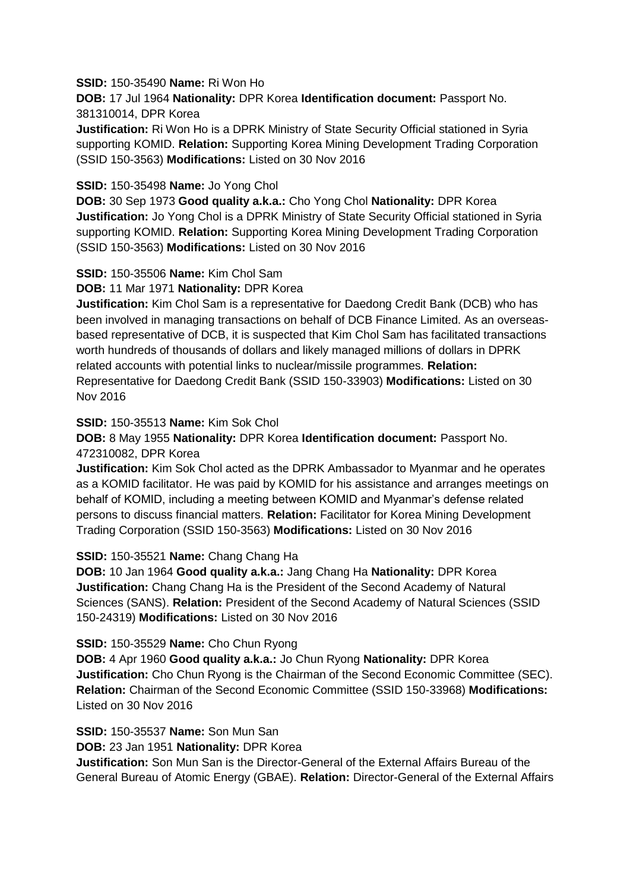#### **SSID:** 150-35490 **Name:** Ri Won Ho

**DOB:** 17 Jul 1964 **Nationality:** DPR Korea **Identification document:** Passport No. 381310014, DPR Korea

**Justification:** Ri Won Ho is a DPRK Ministry of State Security Official stationed in Syria supporting KOMID. **Relation:** Supporting Korea Mining Development Trading Corporation (SSID 150-3563) **Modifications:** Listed on 30 Nov 2016

### **SSID:** 150-35498 **Name:** Jo Yong Chol

**DOB:** 30 Sep 1973 **Good quality a.k.a.:** Cho Yong Chol **Nationality:** DPR Korea **Justification:** Jo Yong Chol is a DPRK Ministry of State Security Official stationed in Syria supporting KOMID. **Relation:** Supporting Korea Mining Development Trading Corporation (SSID 150-3563) **Modifications:** Listed on 30 Nov 2016

## **SSID:** 150-35506 **Name:** Kim Chol Sam

### **DOB:** 11 Mar 1971 **Nationality:** DPR Korea

**Justification:** Kim Chol Sam is a representative for Daedong Credit Bank (DCB) who has been involved in managing transactions on behalf of DCB Finance Limited. As an overseasbased representative of DCB, it is suspected that Kim Chol Sam has facilitated transactions worth hundreds of thousands of dollars and likely managed millions of dollars in DPRK related accounts with potential links to nuclear/missile programmes. **Relation:** Representative for Daedong Credit Bank (SSID 150-33903) **Modifications:** Listed on 30 Nov 2016

### **SSID:** 150-35513 **Name:** Kim Sok Chol

**DOB:** 8 May 1955 **Nationality:** DPR Korea **Identification document:** Passport No. 472310082, DPR Korea

**Justification:** Kim Sok Chol acted as the DPRK Ambassador to Myanmar and he operates as a KOMID facilitator. He was paid by KOMID for his assistance and arranges meetings on behalf of KOMID, including a meeting between KOMID and Myanmar's defense related persons to discuss financial matters. **Relation:** Facilitator for Korea Mining Development Trading Corporation (SSID 150-3563) **Modifications:** Listed on 30 Nov 2016

# **SSID:** 150-35521 **Name:** Chang Chang Ha

**DOB:** 10 Jan 1964 **Good quality a.k.a.:** Jang Chang Ha **Nationality:** DPR Korea **Justification:** Chang Chang Ha is the President of the Second Academy of Natural Sciences (SANS). **Relation:** President of the Second Academy of Natural Sciences (SSID 150-24319) **Modifications:** Listed on 30 Nov 2016

# **SSID:** 150-35529 **Name:** Cho Chun Ryong

**DOB:** 4 Apr 1960 **Good quality a.k.a.:** Jo Chun Ryong **Nationality:** DPR Korea **Justification:** Cho Chun Ryong is the Chairman of the Second Economic Committee (SEC). **Relation:** Chairman of the Second Economic Committee (SSID 150-33968) **Modifications:**  Listed on 30 Nov 2016

**SSID:** 150-35537 **Name:** Son Mun San

**DOB:** 23 Jan 1951 **Nationality:** DPR Korea

**Justification:** Son Mun San is the Director-General of the External Affairs Bureau of the General Bureau of Atomic Energy (GBAE). **Relation:** Director-General of the External Affairs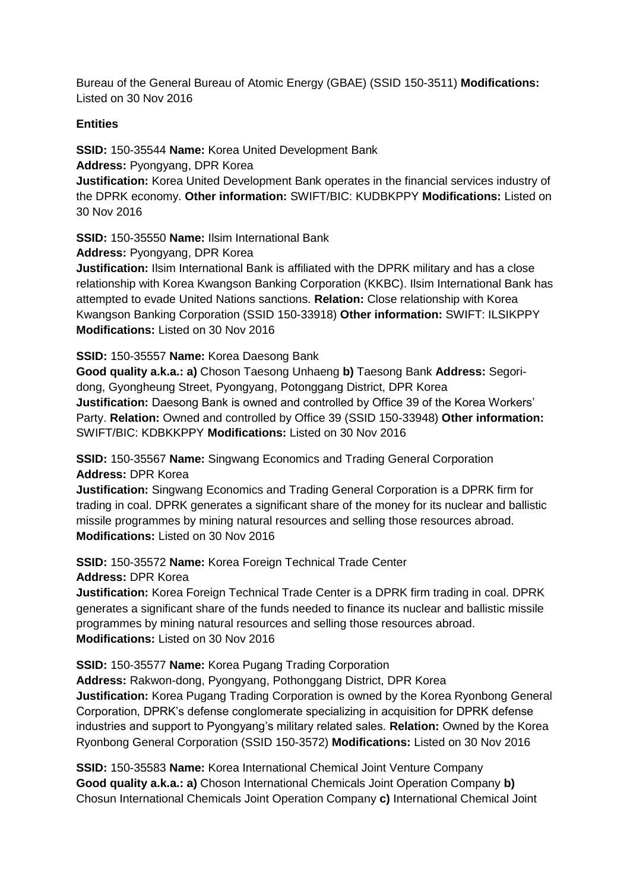Bureau of the General Bureau of Atomic Energy (GBAE) (SSID 150-3511) **Modifications:**  Listed on 30 Nov 2016

## **Entities**

**SSID:** 150-35544 **Name:** Korea United Development Bank

**Address:** Pyongyang, DPR Korea

**Justification:** Korea United Development Bank operates in the financial services industry of the DPRK economy. **Other information:** SWIFT/BIC: KUDBKPPY **Modifications:** Listed on 30 Nov 2016

**SSID:** 150-35550 **Name:** Ilsim International Bank

**Address:** Pyongyang, DPR Korea

**Justification:** Ilsim International Bank is affiliated with the DPRK military and has a close relationship with Korea Kwangson Banking Corporation (KKBC). Ilsim International Bank has attempted to evade United Nations sanctions. **Relation:** Close relationship with Korea Kwangson Banking Corporation (SSID 150-33918) **Other information:** SWIFT: ILSIKPPY **Modifications:** Listed on 30 Nov 2016

**SSID:** 150-35557 **Name:** Korea Daesong Bank

**Good quality a.k.a.: a)** Choson Taesong Unhaeng **b)** Taesong Bank **Address:** Segoridong, Gyongheung Street, Pyongyang, Potonggang District, DPR Korea **Justification:** Daesong Bank is owned and controlled by Office 39 of the Korea Workers' Party. **Relation:** Owned and controlled by Office 39 (SSID 150-33948) **Other information:** SWIFT/BIC: KDBKKPPY **Modifications:** Listed on 30 Nov 2016

**SSID:** 150-35567 **Name:** Singwang Economics and Trading General Corporation **Address:** DPR Korea

**Justification:** Singwang Economics and Trading General Corporation is a DPRK firm for trading in coal. DPRK generates a significant share of the money for its nuclear and ballistic missile programmes by mining natural resources and selling those resources abroad. **Modifications:** Listed on 30 Nov 2016

**SSID:** 150-35572 **Name:** Korea Foreign Technical Trade Center

**Address:** DPR Korea

**Justification:** Korea Foreign Technical Trade Center is a DPRK firm trading in coal. DPRK generates a significant share of the funds needed to finance its nuclear and ballistic missile programmes by mining natural resources and selling those resources abroad. **Modifications:** Listed on 30 Nov 2016

**SSID:** 150-35577 **Name:** Korea Pugang Trading Corporation

**Address:** Rakwon-dong, Pyongyang, Pothonggang District, DPR Korea **Justification:** Korea Pugang Trading Corporation is owned by the Korea Ryonbong General Corporation, DPRK's defense conglomerate specializing in acquisition for DPRK defense industries and support to Pyongyang's military related sales. **Relation:** Owned by the Korea Ryonbong General Corporation (SSID 150-3572) **Modifications:** Listed on 30 Nov 2016

**SSID:** 150-35583 **Name:** Korea International Chemical Joint Venture Company **Good quality a.k.a.: a)** Choson International Chemicals Joint Operation Company **b)**  Chosun International Chemicals Joint Operation Company **c)** International Chemical Joint